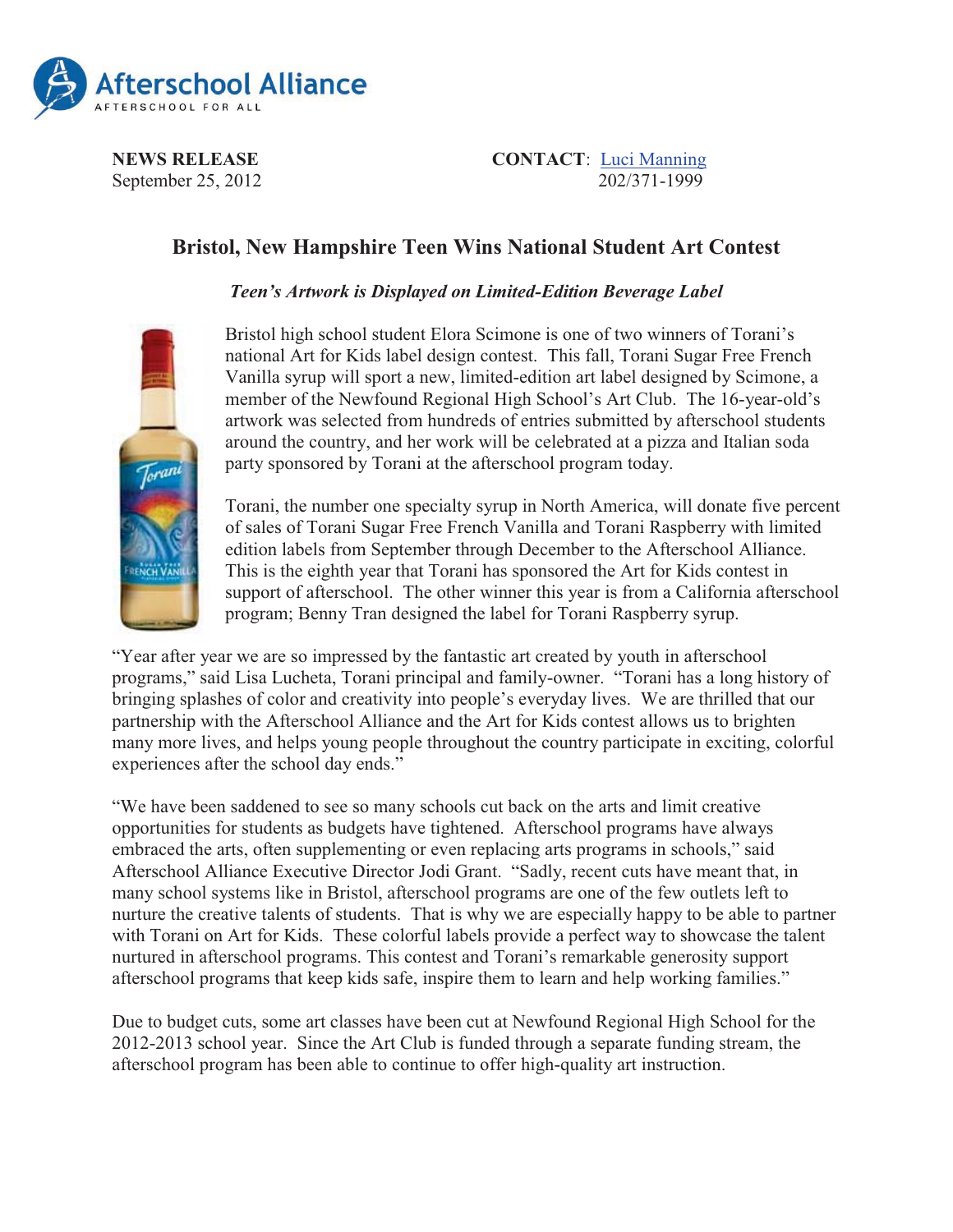

September 25, 2012

**NEWS RELEASE**<br>
Sentember 25, 2012<br>
Sentember 25, 2012

## **Bristol, New Hampshire Teen Wins National Student Art Contest**

## *Teen's Artwork is Displayed on Limited-Edition Beverage Label*



Bristol high school student Elora Scimone is one of two winners of Torani's national Art for Kids label design contest. This fall, Torani Sugar Free French Vanilla syrup will sport a new, limited-edition art label designed by Scimone, a member of the Newfound Regional High School's Art Club. The 16-year-old's artwork was selected from hundreds of entries submitted by afterschool students around the country, and her work will be celebrated at a pizza and Italian soda party sponsored by Torani at the afterschool program today.

Torani, the number one specialty syrup in North America, will donate five percent of sales of Torani Sugar Free French Vanilla and Torani Raspberry with limited edition labels from September through December to the Afterschool Alliance. This is the eighth year that Torani has sponsored the Art for Kids contest in support of afterschool. The other winner this year is from a California afterschool program; Benny Tran designed the label for Torani Raspberry syrup.

"Year after year we are so impressed by the fantastic art created by youth in afterschool programs," said Lisa Lucheta, Torani principal and family-owner. "Torani has a long history of bringing splashes of color and creativity into people's everyday lives. We are thrilled that our partnership with the Afterschool Alliance and the Art for Kids contest allows us to brighten many more lives, and helps young people throughout the country participate in exciting, colorful experiences after the school day ends."

"We have been saddened to see so many schools cut back on the arts and limit creative opportunities for students as budgets have tightened. Afterschool programs have always embraced the arts, often supplementing or even replacing arts programs in schools," said Afterschool Alliance Executive Director Jodi Grant. "Sadly, recent cuts have meant that, in many school systems like in Bristol, afterschool programs are one of the few outlets left to nurture the creative talents of students. That is why we are especially happy to be able to partner with Torani on Art for Kids. These colorful labels provide a perfect way to showcase the talent nurtured in afterschool programs. This contest and Torani's remarkable generosity support afterschool programs that keep kids safe, inspire them to learn and help working families."

Due to budget cuts, some art classes have been cut at Newfound Regional High School for the 2012-2013 school year. Since the Art Club is funded through a separate funding stream, the afterschool program has been able to continue to offer high-quality art instruction.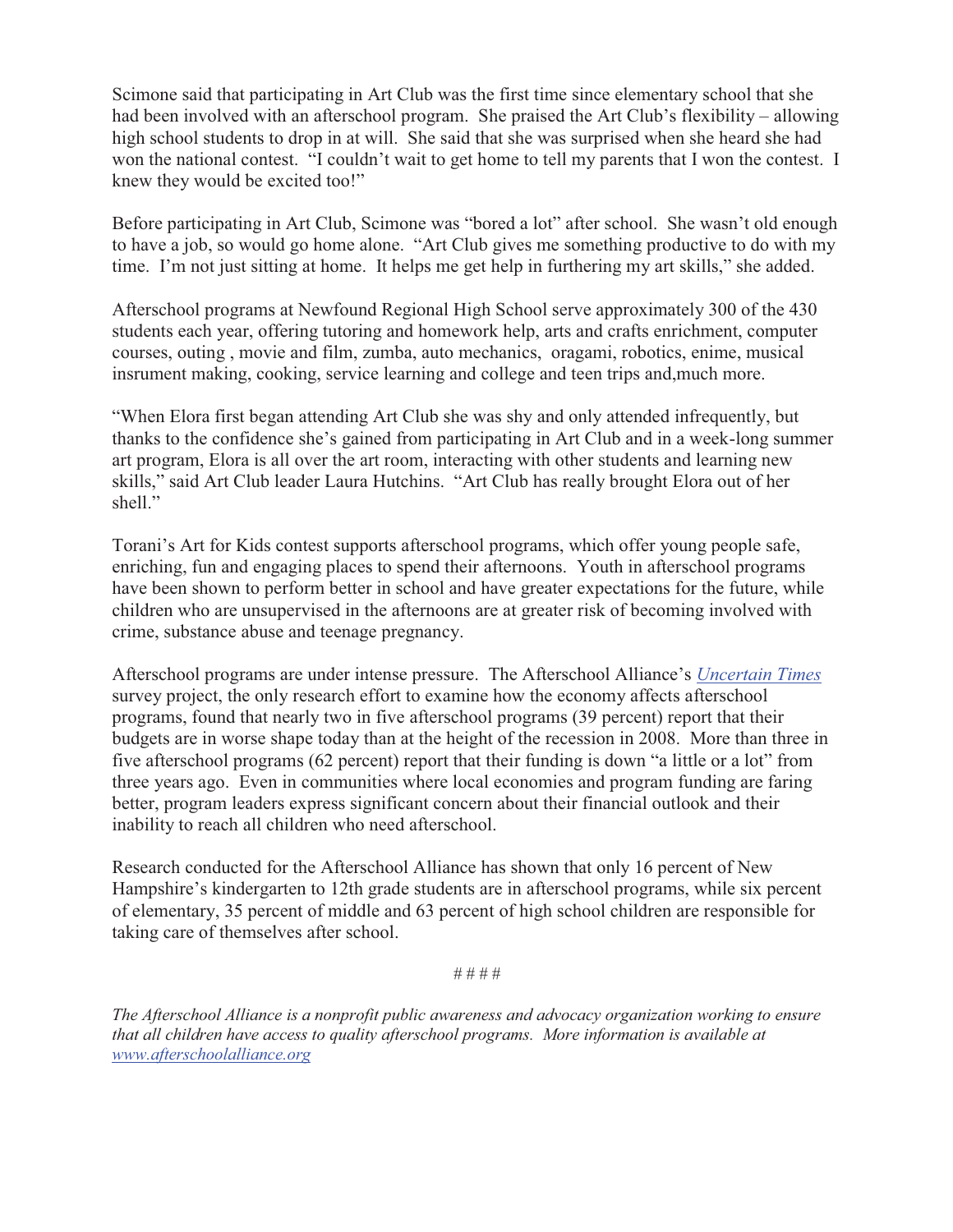Scimone said that participating in Art Club was the first time since elementary school that she had been involved with an afterschool program. She praised the Art Club's flexibility – allowing high school students to drop in at will. She said that she was surprised when she heard she had won the national contest. "I couldn't wait to get home to tell my parents that I won the contest. I knew they would be excited too!"

Before participating in Art Club, Scimone was "bored a lot" after school. She wasn't old enough to have a job, so would go home alone. "Art Club gives me something productive to do with my time. I'm not just sitting at home. It helps me get help in furthering my art skills," she added.

Afterschool programs at Newfound Regional High School serve approximately 300 of the 430 students each year, offering tutoring and homework help, arts and crafts enrichment, computer courses, outing , movie and film, zumba, auto mechanics, oragami, robotics, enime, musical insrument making, cooking, service learning and college and teen trips and,much more.

"When Elora first began attending Art Club she was shy and only attended infrequently, but thanks to the confidence she's gained from participating in Art Club and in a week-long summer art program, Elora is all over the art room, interacting with other students and learning new skills," said Art Club leader Laura Hutchins. "Art Club has really brought Elora out of her shell."

Torani's Art for Kids contest supports afterschool programs, which offer young people safe, enriching, fun and engaging places to spend their afternoons. Youth in afterschool programs have been shown to perform better in school and have greater expectations for the future, while children who are unsupervised in the afternoons are at greater risk of becoming involved with crime, substance abuse and teenage pregnancy.

Afterschool programs are under intense pressure. The Afterschool Alliance's *Uncertain Times* survey project, the only research effort to examine how the economy affects afterschool programs, found that nearly two in five afterschool programs (39 percent) report that their budgets are in worse shape today than at the height of the recession in 2008. More than three in five afterschool programs (62 percent) report that their funding is down "a little or a lot" from three years ago. Even in communities where local economies and program funding are faring better, program leaders express significant concern about their financial outlook and their inability to reach all children who need afterschool.

Research conducted for the Afterschool Alliance has shown that only 16 percent of New Hampshire's kindergarten to 12th grade students are in afterschool programs, while six percent of elementary, 35 percent of middle and 63 percent of high school children are responsible for taking care of themselves after school.

*# # # #*

*The Afterschool Alliance is a nonprofit public awareness and advocacy organization working to ensure that all children have access to quality afterschool programs. More information is available at www.afterschoolalliance.org*